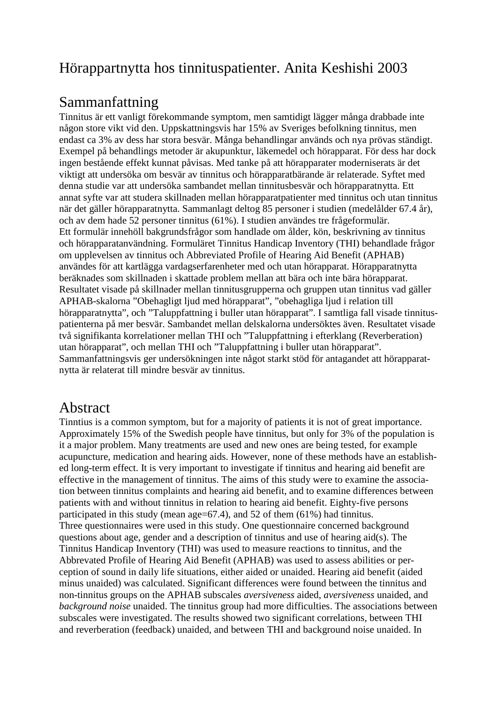## Hörappartnytta hos tinnituspatienter. Anita Keshishi 2003

## Sammanfattning

Tinnitus är ett vanligt förekommande symptom, men samtidigt lägger många drabbade inte någon store vikt vid den. Uppskattningsvis har 15% av Sveriges befolkning tinnitus, men endast ca 3% av dess har stora besvär. Många behandlingar används och nya prövas ständigt. Exempel på behandlings metoder är akupunktur, läkemedel och hörapparat. För dess har dock ingen bestående effekt kunnat påvisas. Med tanke på att hörapparater moderniserats är det viktigt att undersöka om besvär av tinnitus och hörapparatbärande är relaterade. Syftet med denna studie var att undersöka sambandet mellan tinnitusbesvär och hörapparatnytta. Ett annat syfte var att studera skillnaden mellan hörapparatpatienter med tinnitus och utan tinnitus när det gäller hörapparatnytta. Sammanlagt deltog 85 personer i studien (medelålder 67.4 år), och av dem hade 52 personer tinnitus (61%). I studien användes tre frågeformulär. Ett formulär innehöll bakgrundsfrågor som handlade om ålder, kön, beskrivning av tinnitus och hörapparatanvändning. Formuläret Tinnitus Handicap Inventory (THI) behandlade frågor om upplevelsen av tinnitus och Abbreviated Profile of Hearing Aid Benefit (APHAB) användes för att kartlägga vardagserfarenheter med och utan hörapparat. Hörapparatnytta beräknades som skillnaden i skattade problem mellan att bära och inte bära hörapparat. Resultatet visade på skillnader mellan tinnitusgrupperna och gruppen utan tinnitus vad gäller APHAB-skalorna "Obehagligt ljud med hörapparat", "obehagliga ljud i relation till hörapparatnytta", och "Taluppfattning i buller utan hörapparat". I samtliga fall visade tinnituspatienterna på mer besvär. Sambandet mellan delskalorna undersöktes även. Resultatet visade två signifikanta korrelationer mellan THI och "Taluppfattning i efterklang (Reverberation) utan hörapparat", och mellan THI och "Taluppfattning i buller utan hörapparat". Sammanfattningsvis ger undersökningen inte något starkt stöd för antagandet att hörapparatnytta är relaterat till mindre besvär av tinnitus.

## Abstract

Tinntius is a common symptom, but for a majority of patients it is not of great importance. Approximately 15% of the Swedish people have tinnitus, but only for 3% of the population is it a major problem. Many treatments are used and new ones are being tested, for example acupuncture, medication and hearing aids. However, none of these methods have an established long-term effect. It is very important to investigate if tinnitus and hearing aid benefit are effective in the management of tinnitus. The aims of this study were to examine the association between tinnitus complaints and hearing aid benefit, and to examine differences between patients with and without tinnitus in relation to hearing aid benefit. Eighty-five persons participated in this study (mean age=67.4), and 52 of them (61%) had tinnitus. Three questionnaires were used in this study. One questionnaire concerned background questions about age, gender and a description of tinnitus and use of hearing aid(s). The Tinnitus Handicap Inventory (THI) was used to measure reactions to tinnitus, and the Abbrevated Profile of Hearing Aid Benefit (APHAB) was used to assess abilities or perception of sound in daily life situations, either aided or unaided. Hearing aid benefit (aided minus unaided) was calculated. Significant differences were found between the tinnitus and non-tinnitus groups on the APHAB subscales *aversiveness* aided, *aversiveness* unaided, and *background noise* unaided. The tinnitus group had more difficulties. The associations between subscales were investigated. The results showed two significant correlations, between THI and reverberation (feedback) unaided, and between THI and background noise unaided. In